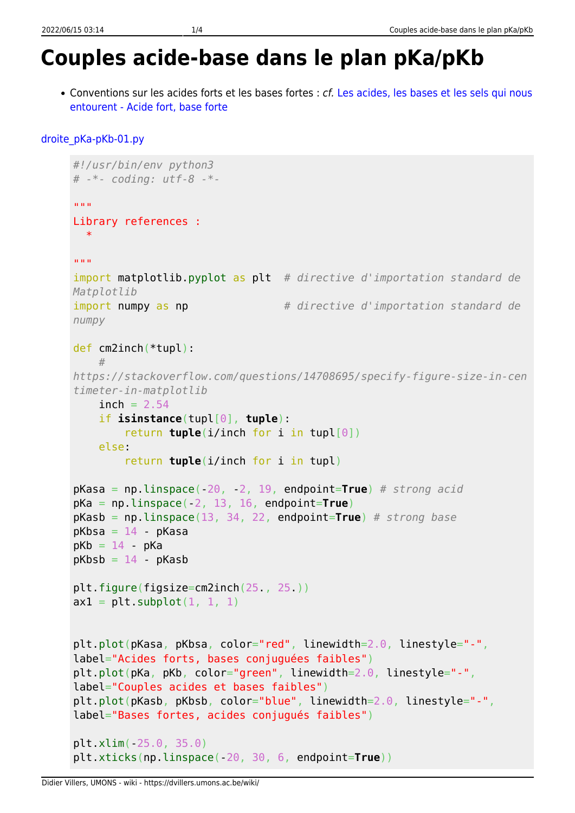## **Couples acide-base dans le plan pKa/pKb**

• Conventions sur les acides forts et les bases fortes : cf. [Les acides, les bases et les sels qui nous](https://dvillers.umons.ac.be/wiki/teaching:didactiquechimie:acides_bases_sels#acide_fort_base_forte) [entourent - Acide fort, base forte](https://dvillers.umons.ac.be/wiki/teaching:didactiquechimie:acides_bases_sels#acide_fort_base_forte)

```
droite_pKa-pKb-01.py
```

```
#!/usr/bin/env python3
# -*- coding: utf-8 -*-
"" "" ""
Library references :
  *
""" "
import matplotlib.pyplot as plt # directive d'importation standard de
Matplotlib
import numpy as np # directive d'importation standard de
numpy
def cm2inch(*tupl):
 #
https://stackoverflow.com/questions/14708695/specify-figure-size-in-cen
timeter-in-matplotlib
    inch = 2.54 if isinstance(tupl[0], tuple):
         return tuple(i/inch for i in tupl[0])
     else:
         return tuple(i/inch for i in tupl)
pKasa = np.linspace(-20, -2, 19, endpoint=True) # strong acid
pKa = np.linspace(-2, 13, 16, endpoint=True)
pKasb = np.linspace(13, 34, 22, endpoint=True) # strong base
pKbsa = 14 - pKasapKb = 14 - pKapKbsb = 14 - pKasbplt.figure(figsize=cm2inch(25., 25.))
ax1 = plt.subplot(1, 1, 1)plt.plot(pKasa, pKbsa, color="red", linewidth=2.0, linestyle="-",
label="Acides forts, bases conjuguées faibles")
plt.plot(pKa, pKb, color="green", linewidth=2.0, linestyle="-",
label="Couples acides et bases faibles")
plt.plot(pKasb, pKbsb, color="blue", linewidth=2.0, linestyle="-",
label="Bases fortes, acides conjugués faibles")
plt.xlim(-25.0, 35.0)
plt.xticks(np.linspace(-20, 30, 6, endpoint=True))
```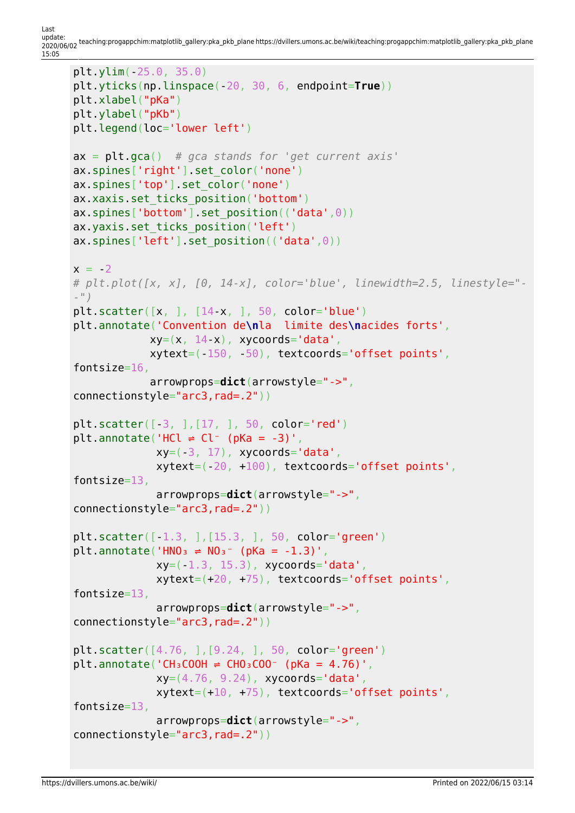Last<br>update: update: 2020/06/02 teaching:progappchim:matplotlib\_gallery:pka\_pkb\_plane https://dvillers.umons.ac.be/wiki/teaching:progappchim:matplotlib\_gallery:pka\_pkb\_plane 15:05

```
plt.ylim(-25.0, 35.0)
plt.yticks(np.linspace(-20, 30, 6, endpoint=True))
plt.xlabel("pKa")
plt.ylabel("pKb")
plt.legend(loc='lower left')
ax = plt.gca() # gca stands for 'get current axis'
ax.spines['right'].set color('none')
ax.spines['top'].set color('none')
ax.xaxis.set ticks position('bottom')
ax.spines['bottom'].set position(('data',0))
ax.yaxis.set ticks position('left')
ax.spines['left'].set_position(('data',0))
x = -2# plt.plot([x, x], [0, 14-x], color='blue', linewidth=2.5, linestyle="-
-")
plt.scatter([x, ], [14-x, ], 50, color='blue')
plt.annotate('Convention de\nla limite des\nacides forts',
             xy=(x, 14-x), xycoords='data', xytext=(-150, -50), textcoords='offset points',
fontsize=16,
              arrowprops=dict(arrowstyle="->",
connectionstyle="arc3,rad=.2"))
plt.scatter([-3, ],[17, ], 50, color='red')
plt.annotate('HCl \neq Cl<sup>-</sup> (pKa = -3)',
              xy=(-3, 17), xycoordinates='data', xytext=(-20, +100), textcoords='offset points',
fontsize=13,
               arrowprops=dict(arrowstyle="->",
connectionstyle="arc3,rad=.2"))
plt.scatter([-1.3, ],[15.3, ], 50, color='green')
plt.annotate('HNO<sub>3</sub> \neq NO<sub>3</sub><sup>-</sup> (pKa = -1.3)',
              xy = (-1.3, 15.3), xy \neq 0 ata',
               xytext=(+20, +75), textcoords='offset points',
fontsize=13,
               arrowprops=dict(arrowstyle="->",
connectionstyle="arc3,rad=.2"))
plt.scatter([4.76, ],[9.24, ], 50, color='green')
plt.annotate('CH<sub>3</sub>COOH \neq CHO<sub>3</sub>COO<sup>-</sup> (pKa = 4.76)',
              xy=(4.76, 9.24), xycoords='data',
               xytext=(+10, +75), textcoords='offset points',
fontsize=13,
               arrowprops=dict(arrowstyle="->",
connectionstyle="arc3,rad=.2"))
```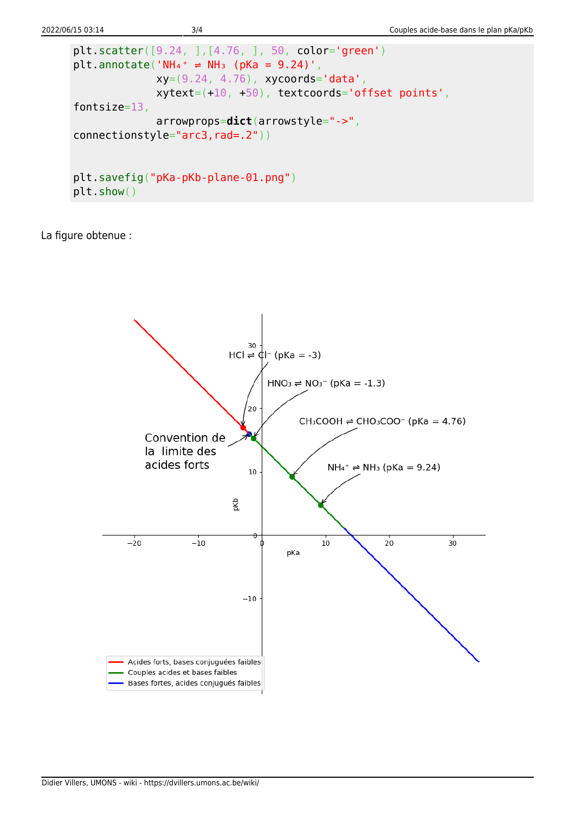```
plt.scatter([9.24, ],[4.76, ], 50, color='green')
plt.annotate('NH4<sup>+</sup> \neq NH<sub>3</sub> (pKa = 9.24)',
              xy=(9.24, 4.76), xycoords='data', xytext=(+10, +50), textcoords='offset points',
fontsize=13,
               arrowprops=dict(arrowstyle="->",
connectionstyle="arc3,rad=.2"))
plt.savefig("pKa-pKb-plane-01.png")
plt.show()
```
La figure obtenue :